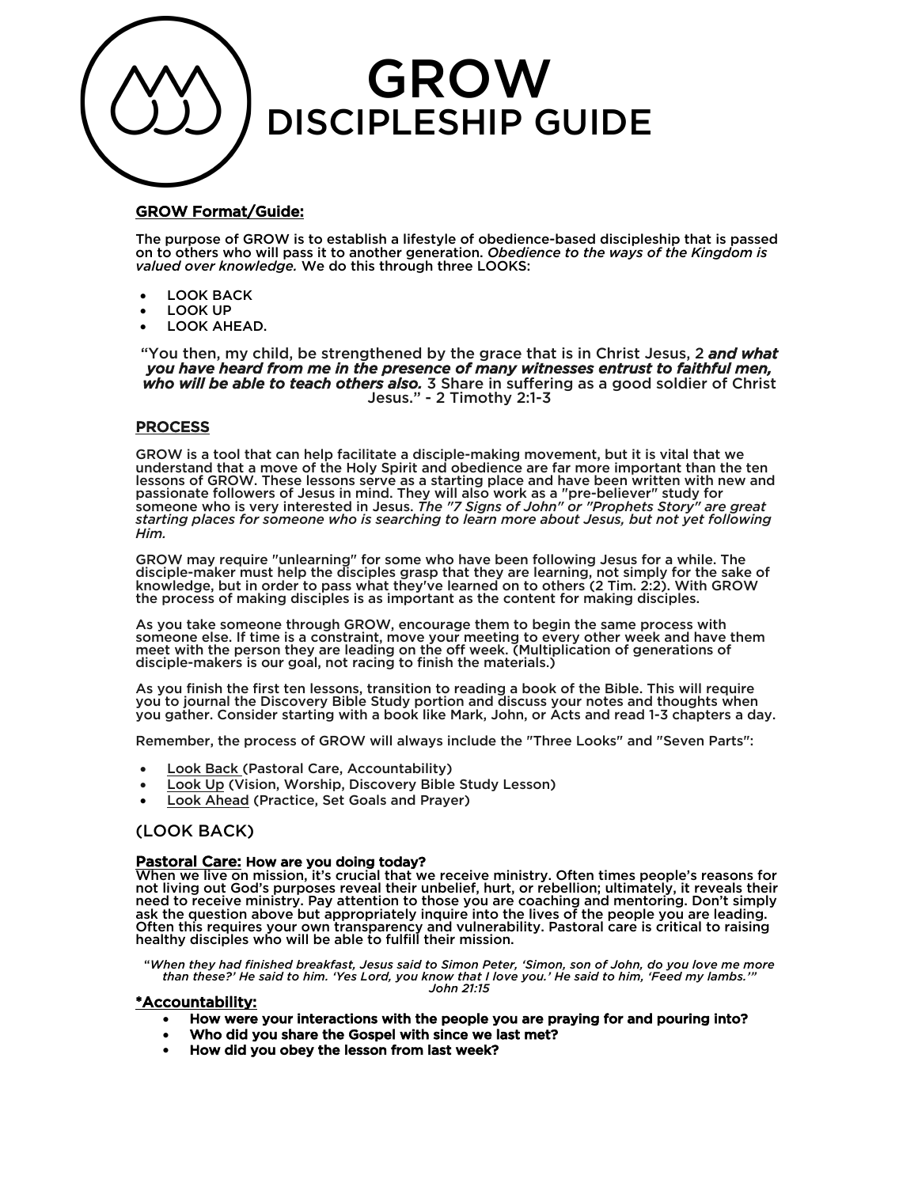

# GROW Format/Guide:

The purpose of GROW is to establish a lifestyle of obedience-based discipleship that is passed on to others who will pass it to another generation. *Obedience to the ways of the Kingdom is valued over knowledge.* We do this through three LOOKS:

- LOOK BACK
- LOOK UP
- LOOK AHEAD.

"You then, my child, be strengthened by the grace that is in Christ Jesus, 2 *and what you have heard from me in the presence of many witnesses entrust to faithful men, who will be able to teach others also.* 3 Share in suffering as a good soldier of Christ Jesus." - 2 Timothy 2:1-3

## PROCESS

GROW is a tool that can help facilitate a disciple-making movement, but it is vital that we understand that a move of the Holy Spirit and obedience are far more important than the ten lessons of GROW. These lessons serve as a starting place and have been written with new and passionate followers of Jesus in mind. They will also work as a "pre-believer" study for someone who is very interested in Jesus. *The "7 Signs of John" or "Prophets Story" are great starting places for someone who is searching to learn more about Jesus, but not yet following Him.*

GROW may require "unlearning" for some who have been following Jesus for a while. The disciple-maker must help the disciples grasp that they are learning, not simply for the sake of knowledge, but in order to pass what they've learned on to others (2 Tim. 2:2). With GROW the process of making disciples is as important as the content for making disciples.

As you take someone through GROW, encourage them to begin the same process with someone else. If time is a constraint, move your meeting to every other week and have them meet with the person they are leading on the off week. (Multiplication of generations of disciple-makers is our goal, not racing to finish the materials.)

As you finish the first ten lessons, transition to reading a book of the Bible. This will require you to journal the Discovery Bible Study portion and discuss your notes and thoughts when you gather. Consider starting with a book like Mark, John, or Acts and read 1-3 chapters a day.

Remember, the process of GROW will always include the "Three Looks" and "Seven Parts":

- Look Back (Pastoral Care, Accountability)
- Look Up (Vision, Worship, Discovery Bible Study Lesson)
- Look Ahead (Practice, Set Goals and Prayer)

# (LOOK BACK)

<mark>Pastoral Care:</mark> How are you doing today?<br>When we live on mission, it's crucial that we receive ministry. Often times people's reasons for not living out God's purposes reveal their unbelief, hurt, or rebellion; ultimately, it reveals their need to receive ministry. Pay attention to those you are coaching and mentoring. Don't simply ask the question above but appropriately inquire into the lives of the people you are leading. Often this requires your own transparency and vulnerability. Pastoral care is critical to raising healthy disciples who will be able to fulfill their mission.

"*When they had finished breakfast, Jesus said to Simon Peter, 'Simon, son of John, do you love me more than these?' He said to him. 'Yes Lord, you know that I love you.' He said to him, 'Feed my lambs.'" John 21:15*

### \*Accountability:

- How were your interactions with the people you are praying for and pouring into?
- Who did you share the Gospel with since we last met?
- How did you obey the lesson from last week?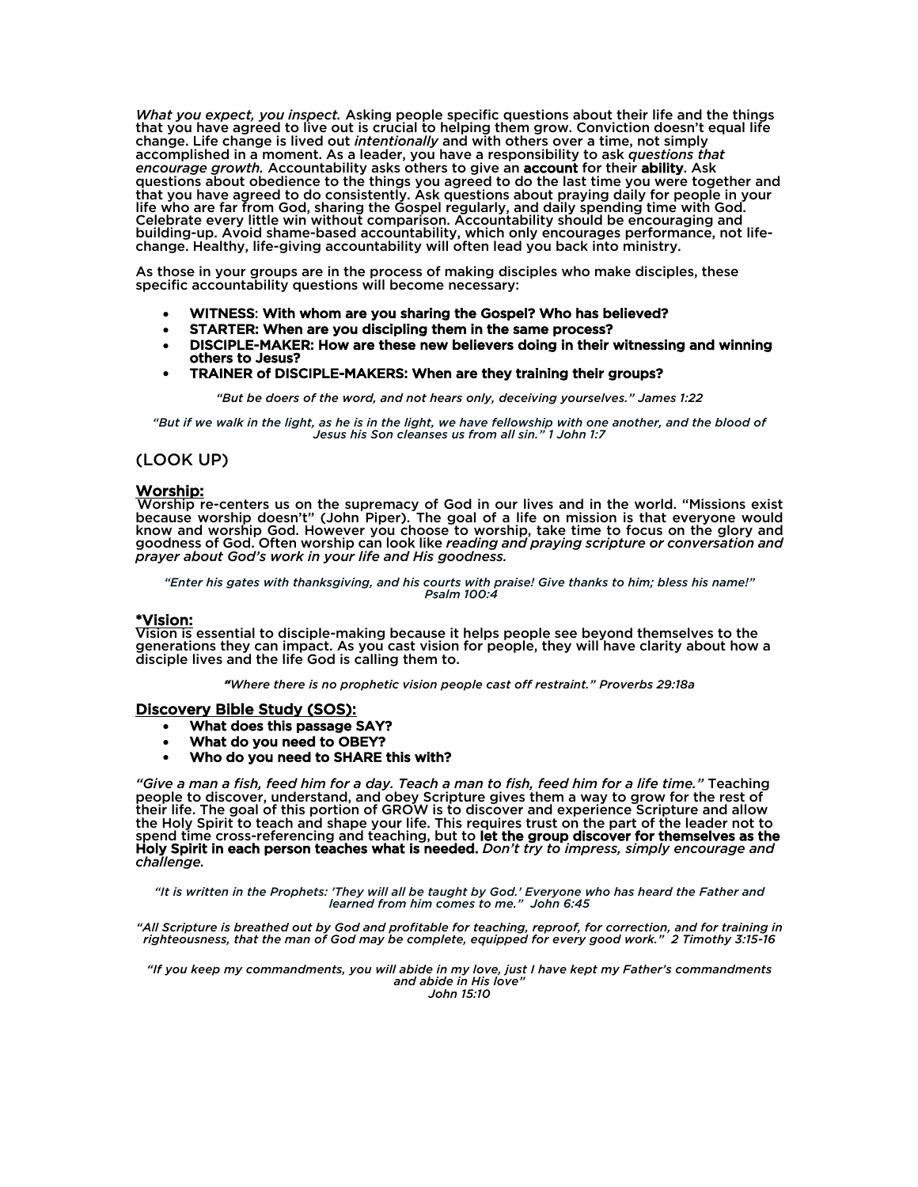*What you expect, you inspect.* Asking people specific questions about their life and the things that you have agreed to live out is crucial to helping them grow. Conviction doesn't equal life change. Life change is lived out *intentionally* and with others over a time, not simply accomplished in a moment. As a leader, you have a responsibility to ask *questions that encourage growth.* Accountability asks others to give an account for their ability. Ask questions about obedience to the things you agreed to do the last time you were together and that you have agreed to do consistently. Ask questions about praying daily for people in your life who are far from God, sharing the Gospel regularly, and daily spending time with God. Celebrate every little win without comparison. Accountability should be encouraging and building-up. Avoid shame-based accountability, which only encourages performance, not life- change. Healthy, life-giving accountability will often lead you back into ministry.

As those in your groups are in the process of making disciples who make disciples, these specific accountability questions will become necessary:

- WITNESS: With whom are you sharing the Gospel? Who has believed?
- STARTER: When are you discipling them in the same process?
- DISCIPLE-MAKER: How are these new believers doing in their witnessing and winning others to Jesus?
- TRAINER of DISCIPLE-MAKERS: When are they training their groups?

*"But be doers of the word, and not hears only, deceiving yourselves." James 1:22*

*"But if we walk in the light, as he is in the light, we have fellowship with one another, and the blood of Jesus his Son cleanses us from all sin." 1 John 1:7*

# (LOOK UP)

Worship:<br>Worship re-centers us on the supremacy of God in our lives and in the world. "Missions exist because worship doesn't" (John Piper). The goal of a life on mission is that everyone would know and worship God. However you choose to worship, take time to focus on the glory and goodness of God. Often worship can look like *reading and praying scripture or conversation and prayer about God's work in your life and His goodness.* 

*"Enter his gates with thanksgiving, and his courts with praise! Give thanks to him; bless his name!" Psalm 100:4*

\*Vision:<br>Vision is essential to disciple-making because it helps people see beyond themselves to the generations they can impact. As you cast vision for people, they will have clarity about how a disciple lives and the life God is calling them to.

*"Where there is no prophetic vision people cast off restraint." Proverbs 29:18a*

#### Discovery Bible Study (SOS):

- What does this passage SAY?
- What do you need to OBEY?
- Who do you need to SHARE this with?

*"Give a man a fish, feed him for a day. Teach a man to fish, feed him for a life time."* Teaching people to discover, understand, and obey Scripture gives them a way to grow for the rest of their life. The goal of this portion of GROW is to discover and experience Scripture and allow the Holy Spirit to teach and shape your life. This requires trust on the part of the leader not to spend time cross-referencing and teaching, but to let the group discover for themselves as the Holy Spirit in each person teaches what is needed. *Don't try to impress, simply encourage and challenge.* 

*"It is written in the Prophets: 'They will all be taught by God.' Everyone who has heard the Father and learned from him comes to me." John 6:45*

*"All Scripture is breathed out by God and profitable for teaching, reproof, for correction, and for training in righteousness, that the man of God may be complete, equipped for every good work." 2 Timothy 3:15-16*

*"If you keep my commandments, you will abide in my love, just I have kept my Father's commandments and abide in His love" John 15:10*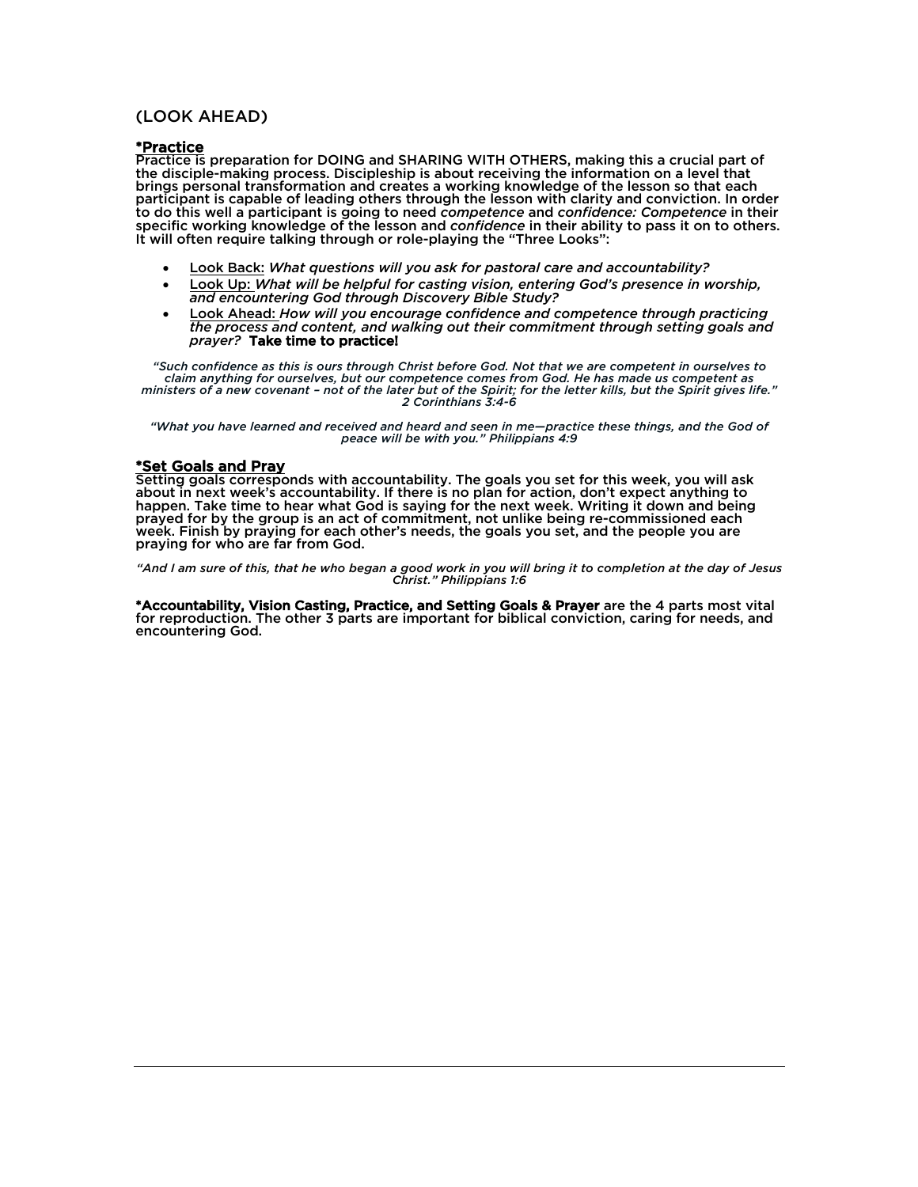# (LOOK AHEAD)

\*Practice Practice is preparation for DOING and SHARING WITH OTHERS, making this a crucial part of the disciple-making process. Discipleship is about receiving the information on a level that brings personal transformation and creates a working knowledge of the lesson so that each participant is capable of leading others through the lesson with clarity and conviction. In order to do this well a participant is going to need *competence* and *confidence: Competence* in their specific working knowledge of the lesson and *confidence* in their ability to pass it on to others. It will often require talking through or role-playing the "Three Looks":

- Look Back: *What questions will you ask for pastoral care and accountability?*
- Look Up: *What will be helpful for casting vision, entering God's presence in worship, and encountering God through Discovery Bible Study?*
- Look Ahead: *How will you encourage confidence and competence through practicing the process and content, and walking out their commitment through setting goals and prayer?* Take time to practice!

 *"Such confidence as this is ours through Christ before God. Not that we are competent in ourselves to claim anything for ourselves, but our competence comes from God. He has made us competent as ministers of a new covenant – not of the later but of the Spirit; for the letter kills, but the Spirit gives life." 2 Corinthians 3:4-6*

*"What you have learned and received and heard and seen in me—practice these things, and the God of peace will be with you." Philippians 4:9*

\*Set Goals and Pray<br>Setting goals corresponds with accountability. The goals you set for this week, you will ask about in next week's accountability. If there is no plan for action, don't expect anything to happen. Take time to hear what God is saying for the next week. Writing it down and being prayed for by the group is an act of commitment, not unlike being re-commissioned each week. Finish by praying for each other's needs, the goals you set, and the people you are praying for who are far from God.

*"And I am sure of this, that he who began a good work in you will bring it to completion at the day of Jesus Christ." Philippians 1:6*

\*Accountability, Vision Casting, Practice, and Setting Goals & Prayer are the 4 parts most vital for reproduction. The other 3 parts are important for biblical conviction, caring for needs, and encountering God.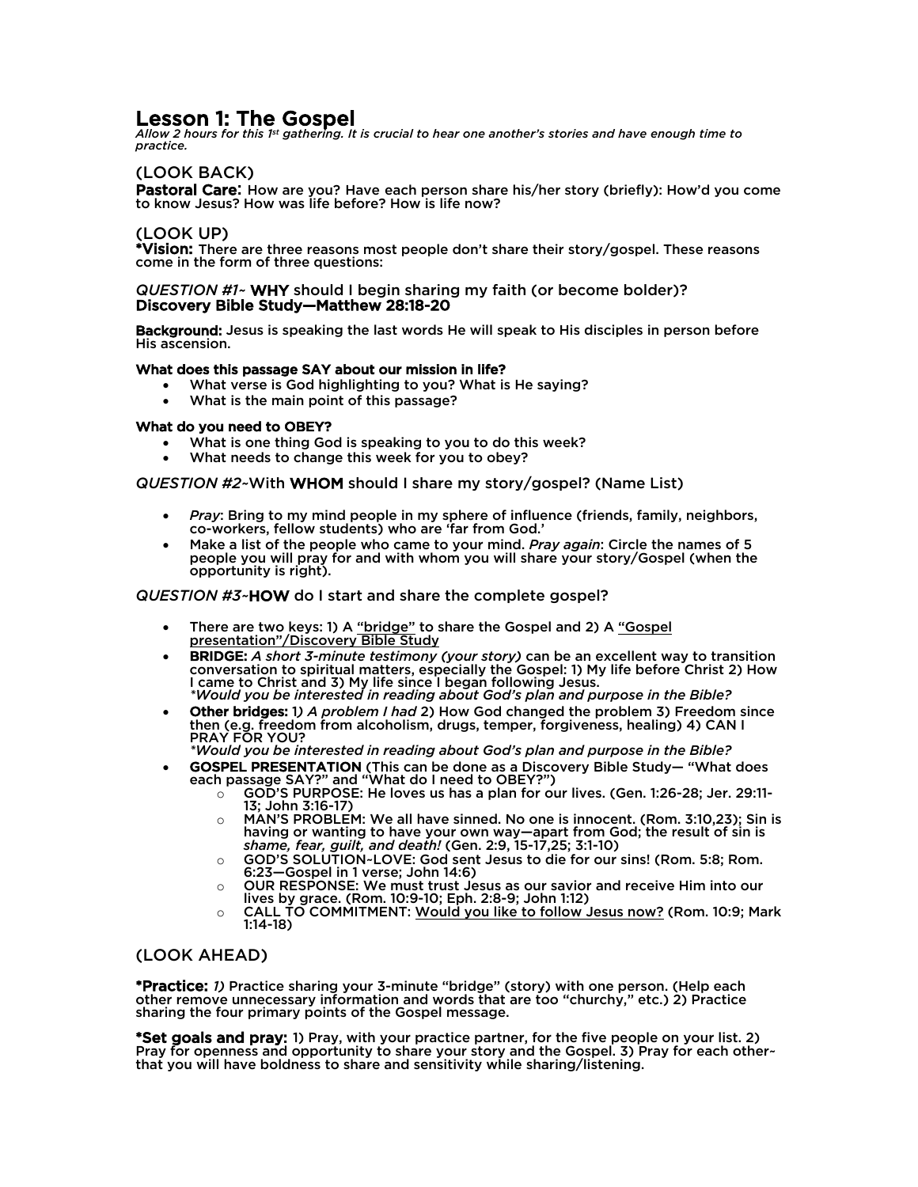Lesson 1: The Gospel<br>*Allow 2 hours for this 1st gathering. It is crucial to hear one another's stories and have enough time to practice.*

# (LOOK BACK)

Pastoral Care: How are you? Have each person share his/her story (briefly): How'd you come to know Jesus? How was life before? How is life now?

# (LOOK UP)

\*Vision: There are three reasons most people don't share their story/gospel. These reasons come in the form of three questions:

#### *QUESTION #1~* WHY should I begin sharing my faith (or become bolder)? Discovery Bible Study—Matthew 28:18-20

Background: Jesus is speaking the last words He will speak to His disciples in person before His ascension.

## What does this passage SAY about our mission in life?

- What verse is God highlighting to you? What is He saying?
- What is the main point of this passage? What do you need to OBEY?

- What is one thing God is speaking to you to do this week?
- What needs to change this week for you to obey?

### *QUESTION #2~*With WHOM should I share my story/gospel? (Name List)

- *Pray*: Bring to my mind people in my sphere of influence (friends, family, neighbors, co-workers, fellow students) who are 'far from God.'
- Make a list of the people who came to your mind. *Pray again*: Circle the names of 5 people you will pray for and with whom you will share your story/Gospel (when the opportunity is right).

### *QUESTION #3~*HOW do I start and share the complete gospel?

- There are two keys: 1) A "bridge" to share the Gospel and 2) A "Gospel presentation"/Discovery Bible Study
- BRIDGE: *A short 3-minute testimony (your story)* can be an excellent way to transition conversation to spiritual matters, especially the Gospel: 1) My life before Christ 2) How I came to Christ and 3) My life since I began following Jesus. *\*Would you be interested in reading about God's plan and purpose in the Bible?*
- Other bridges: 1*) A problem I had* 2) How God changed the problem 3) Freedom since then (e.g. freedom from alcoholism, drugs, temper, forgiveness, healing) 4) CAN I

PRAY FOR YOU? *\*Would you be interested in reading about God's plan and purpose in the Bible?*

- GOSPEL PRESENTATION (This can be done as a Discovery Bible Study— "What does each passage SAY?" and "What do I need to OBEY?")
	- $\circ$  GOD'S PURPOSE: He loves us has a plan for our lives. (Gen. 1:26-28; Jer. 29:11-<br>13; John 3:16-17)
	- $\circ$  MAN'S PROBLEM: We all have sinned. No one is innocent. (Rom. 3:10.23): Sin is having or wanting to have your own way—apart from God; the result of sin is *shame, fear, guilt, and death!* (Gen. 2:9, 15-17,25; 3:1-10)
	- o GOD'S SOLUTION~LOVE: God sent Jesus to die for our sins! (Rom. 5:8; Rom. 6:23—Gospel in 1 verse; John 14:6)
	- o OUR RESPONSE: We must trust Jesus as our savior and receive Him into our lives by grace. (Rom. 10:9-10; Eph. 2:8-9; John 1:12)
	- $\circ$  CALL TO COMMITMENT: <u>Would you like to follow Jesus now?</u> (Rom. 10:9; Mark 1:14-18)

# (LOOK AHEAD)

\*Practice: *1)* Practice sharing your 3-minute "bridge" (story) with one person. (Help each other remove unnecessary information and words that are too "churchy," etc.) 2) Practice sharing the four primary points of the Gospel message.

\*Set goals and pray: 1) Pray, with your practice partner, for the five people on your list. 2) Pray for openness and opportunity to share your story and the Gospel. 3) Pray for each other~ that you will have boldness to share and sensitivity while sharing/listening.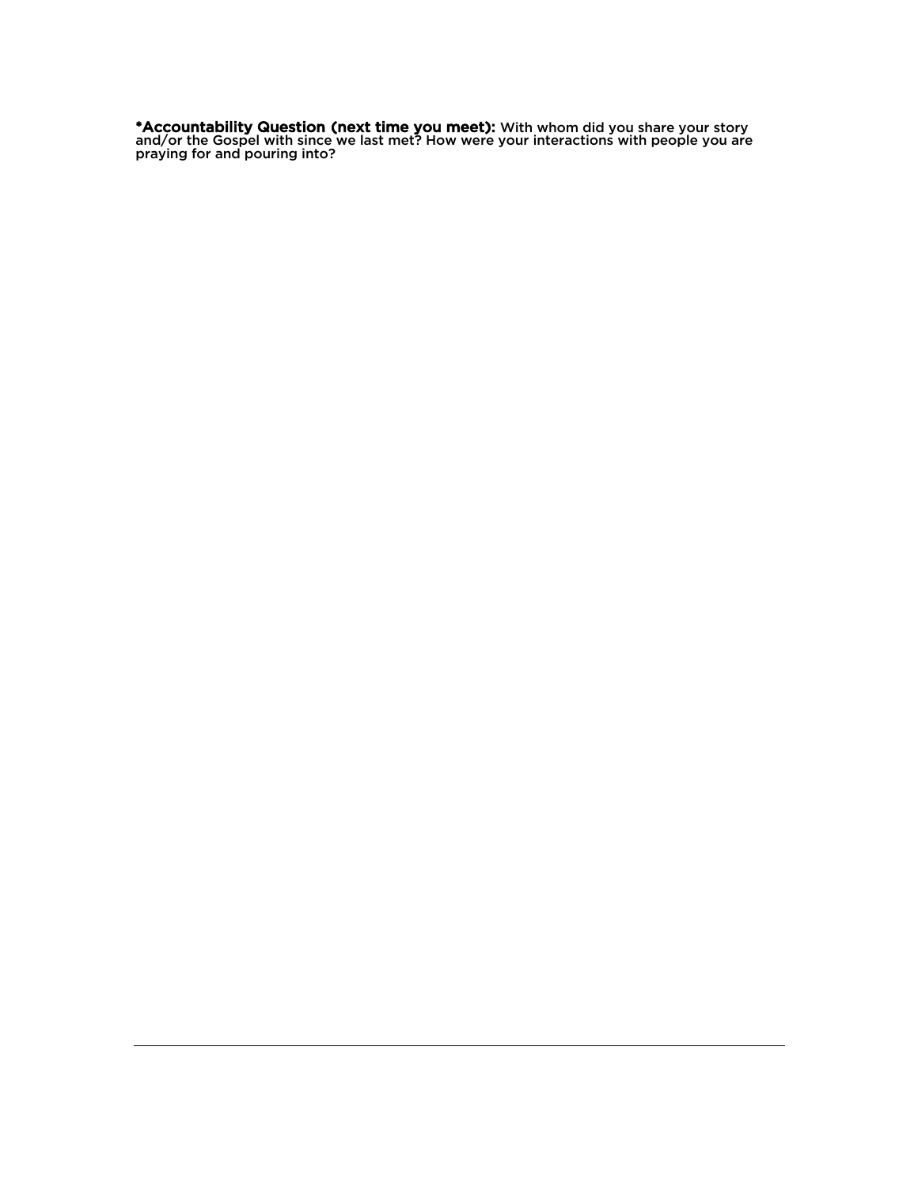\*Accountability Question (next time you meet): With whom did you share your story and/or the Gospel with since we last met? How were your interactions with people you are praying for and pouring into?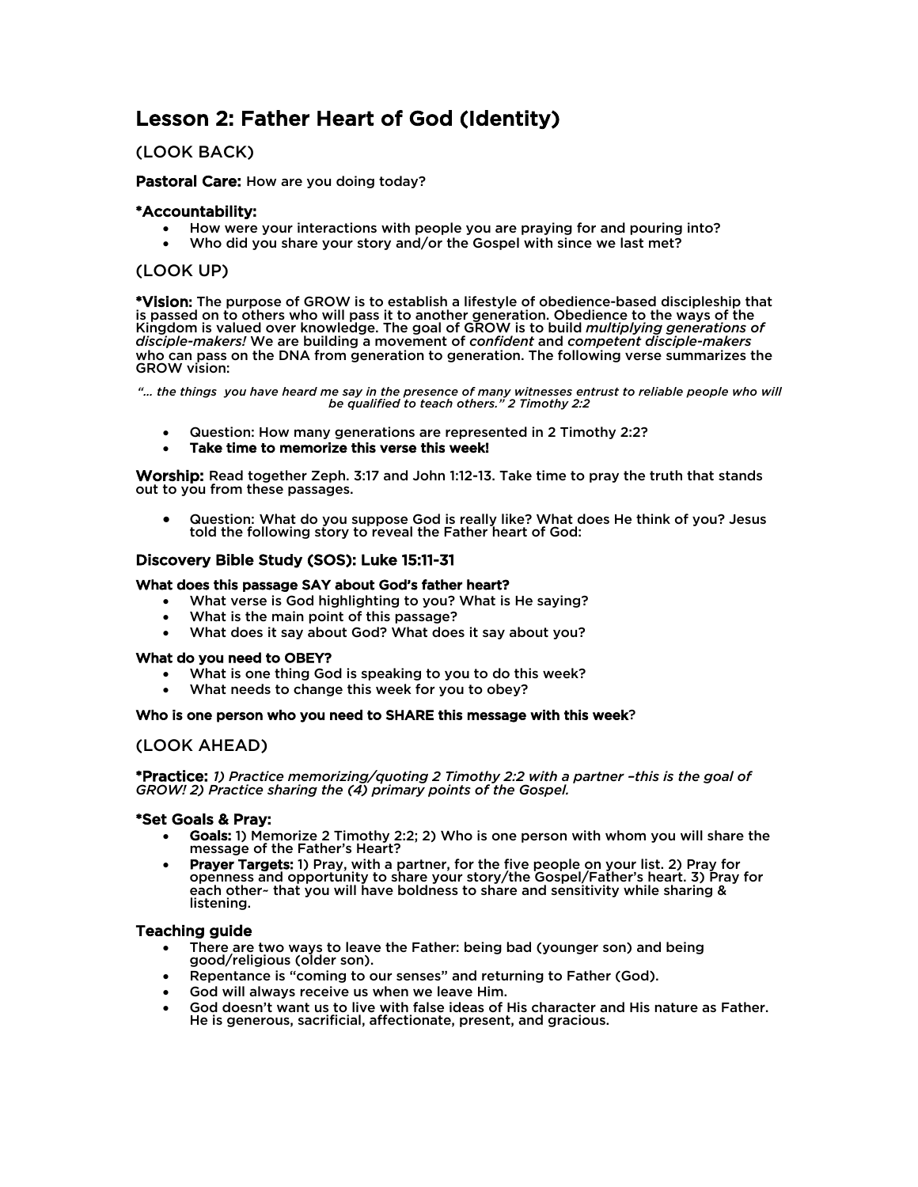# Lesson 2: Father Heart of God (Identity)

# (LOOK BACK)

## Pastoral Care: How are you doing today?

## \*Accountability:

- How were your interactions with people you are praying for and pouring into?
- Who did you share your story and/or the Gospel with since we last met?

# (LOOK UP)

\*Vision: The purpose of GROW is to establish a lifestyle of obedience-based discipleship that is passed on to others who will pass it to another generation. Obedience to the ways of the Kingdom is valued over knowledge. The goal of GROW is to build *multiplying generations of disciple-makers!* We are building a movement of *confident* and *competent disciple-makers* who can pass on the DNA from generation to generation. The following verse summarizes the GROW vision:

*"… the things you have heard me say in the presence of many witnesses entrust to reliable people who will be qualified to teach others." 2 Timothy 2:2*

- Question: How many generations are represented in 2 Timothy 2:2?
- Take time to memorize this verse this week!

Worship: Read together Zeph. 3:17 and John 1:12-13. Take time to pray the truth that stands out to you from these passages.

• Question: What do you suppose God is really like? What does He think of you? Jesus told the following story to reveal the Father heart of God:

## Discovery Bible Study (SOS): Luke 15:11-31

### What does this passage SAY about God's father heart?

- What verse is God highlighting to you? What is He saying?
- What is the main point of this passage?
- What does it say about God? What does it say about you?

### What do you need to OBEY?

- What is one thing God is speaking to you to do this week?
- What needs to change this week for you to obey?

#### Who is one person who you need to SHARE this message with this week?

# (LOOK AHEAD)

\*Practice: *1) Practice memorizing/quoting 2 Timothy 2:2 with a partner –this is the goal of GROW! 2) Practice sharing the (4) primary points of the Gospel.*

### \*Set Goals & Pray:

- Goals: 1) Memorize 2 Timothy 2:2; 2) Who is one person with whom you will share the message of the Father's Heart?
- Prayer Targets: 1) Pray, with a partner, for the five people on your list. 2) Pray for openness and opportunity to share your story/the Gospel/Father's heart. 3) Pray for each other~ that you will have boldness to share and sensitivity while sharing & listening.

- There are two ways to leave the Father: being bad (younger son) and being good/religious (older son).
- Repentance is "coming to our senses" and returning to Father (God).
- God will always receive us when we leave Him.
- God doesn't want us to live with false ideas of His character and His nature as Father. He is generous, sacrificial, affectionate, present, and gracious.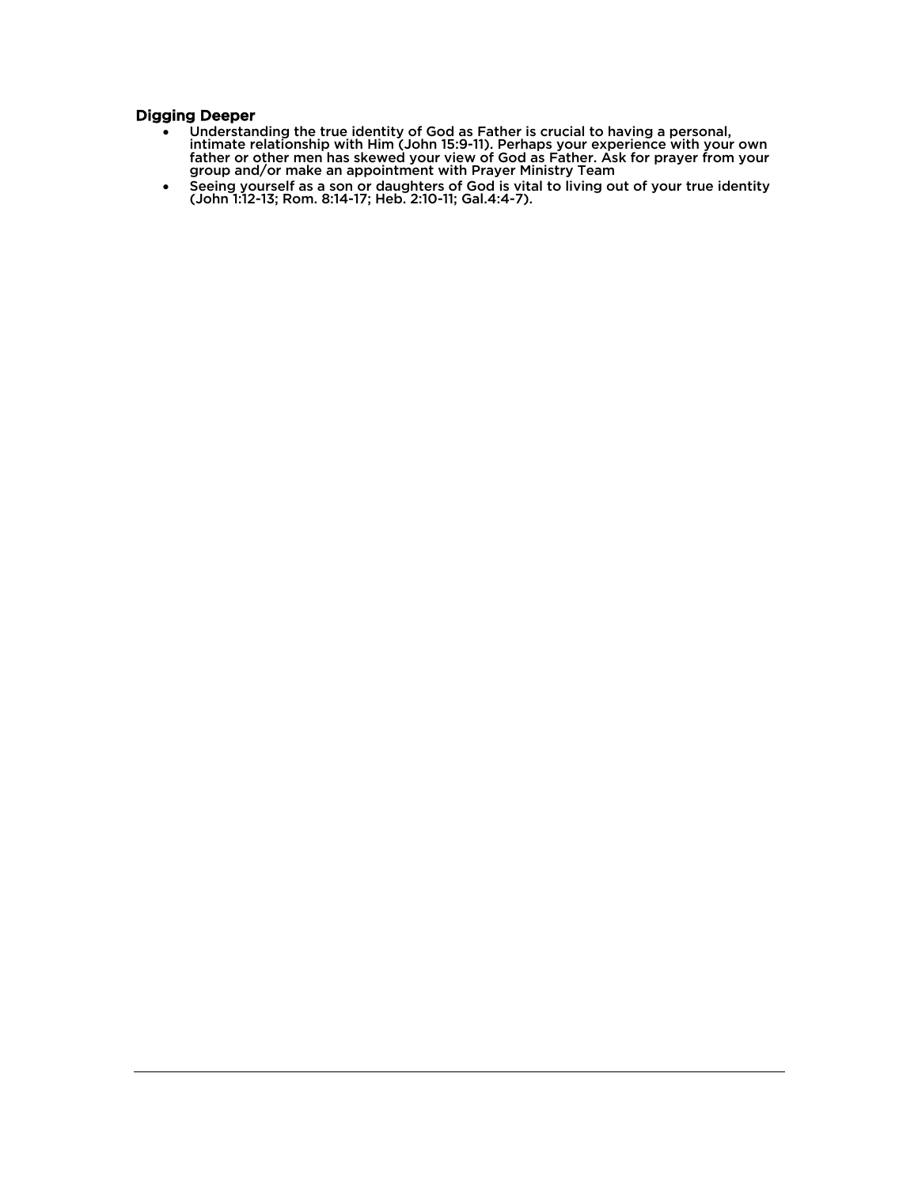# Digging Deeper

- Understanding the true identity of God as Father is crucial to having a personal, intimate relationship with Him (John 15:9-11). Perhaps your experience with your own father or other men has skewed your view of God as Father. Ask for prayer from your group and/or make an appointment with Prayer Ministry Team
- Seeing yourself as a son or daughters of God is vital to living out of your true identity (John 1:12-13; Rom. 8:14-17; Heb. 2:10-11; Gal.4:4-7).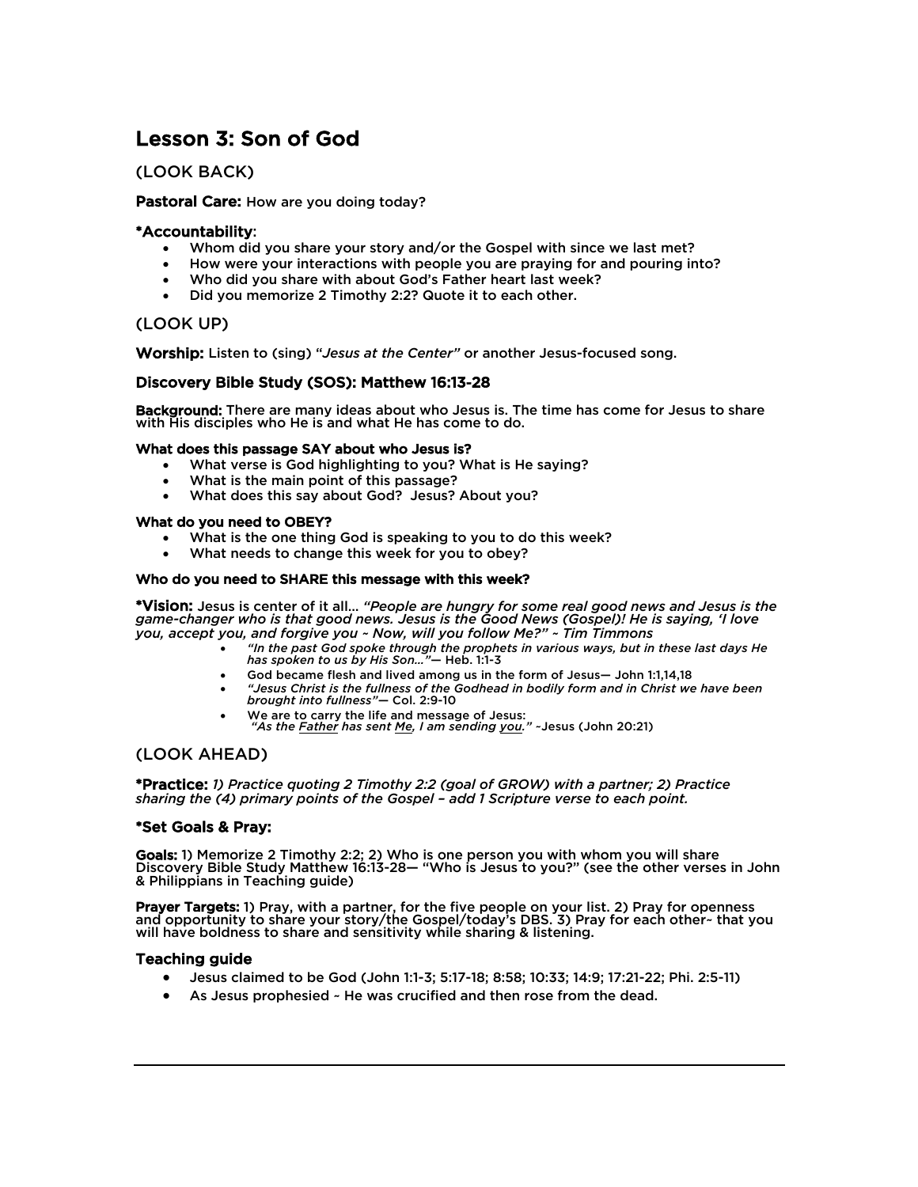# Lesson 3: Son of God

# (LOOK BACK)

# Pastoral Care: How are you doing today?

# \*Accountability:

- Whom did you share your story and/or the Gospel with since we last met?
- How were your interactions with people you are praying for and pouring into?
- Who did you share with about God's Father heart last week?
- Did you memorize 2 Timothy 2:2? Quote it to each other.

# (LOOK UP)

Worship: Listen to (sing) "*Jesus at the Center"* or another Jesus-focused song.

# Discovery Bible Study (SOS): Matthew 16:13-28

Background: There are many ideas about who Jesus is. The time has come for Jesus to share with His disciples who He is and what He has come to do.

### What does this passage SAY about who Jesus is?

- What verse is God highlighting to you? What is He saying?
- What is the main point of this passage?
- What does this say about God? Jesus? About you? What do you need to OBEY?

- What is the one thing God is speaking to you to do this week?
- What needs to change this week for you to obey?

### Who do you need to SHARE this message with this week?

\*Vision: Jesus is center of it all… *"People are hungry for some real good news and Jesus is the game-changer who is that good news. Jesus is the Good News (Gospel)! He is saying, 'I love you, accept you, and forgive you ~ Now, will you follow Me?" ~ Tim Timmons*

- *"In the past God spoke through the prophets in various ways, but in these last days He has spoken to us by His Son…"*— Heb. 1:1-3
- God became flesh and lived among us in the form of Jesus— John 1:1,14,18
- *"Jesus Christ is the fullness of the Godhead in bodily form and in Christ we have been brought into fullness"*— Col. 2:9-10
- We are to carry the life and message of Jesus: *"As the Father has sent Me, I am sending you."* ~Jesus (John 20:21)

# (LOOK AHEAD)

\*Practice: *1) Practice quoting 2 Timothy 2:2 (goal of GROW) with a partner; 2) Practice sharing the (4) primary points of the Gospel – add 1 Scripture verse to each point.* 

# \*Set Goals & Pray:

Goals: 1) Memorize 2 Timothy 2:2; 2) Who is one person you with whom you will share Discovery Bible Study Matthew 16:13-28— "Who is Jesus to you?" (see the other verses in John & Philippians in Teaching guide)

Prayer Targets: 1) Pray, with a partner, for the five people on your list. 2) Pray for openness and opportunity to share your story/the Gospel/today's DBS. 3) Pray for each other~ that you will have boldness to share and sensitivity while sharing & listening.

- Jesus claimed to be God (John 1:1-3; 5:17-18; 8:58; 10:33; 14:9; 17:21-22; Phi. 2:5-11)
- As Jesus prophesied He was crucified and then rose from the dead.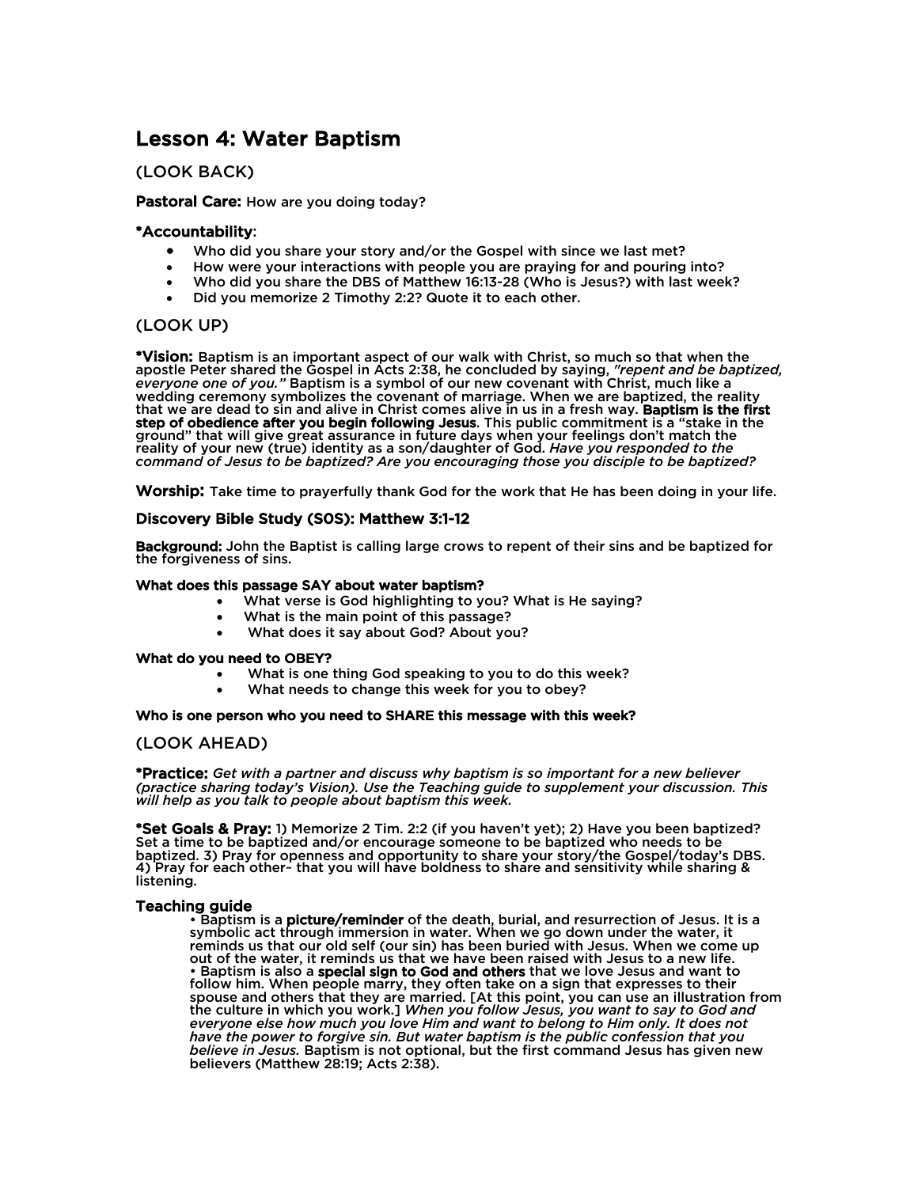# Lesson 4: Water Baptism

# (LOOK BACK)

## Pastoral Care: How are you doing today?

## \*Accountability:

- Who did you share your story and/or the Gospel with since we last met?
- How were your interactions with people you are praying for and pouring into?
- Who did you share the DBS of Matthew 16:13-28 (Who is Jesus?) with last week?
- Did you memorize 2 Timothy 2:2? Quote it to each other.

## (LOOK UP)

\*Vision: Baptism is an important aspect of our walk with Christ, so much so that when the apostle Peter shared the Gospel in Acts 2:38, he concluded by saying, *"repent and be baptized, everyone one of you."* Baptism is a symbol of our new covenant with Christ, much like a wedding ceremony symbolizes the covenant of marriage. When we are baptized, the reality that we are dead to sin and alive in Christ comes alive in us in a fresh way. Baptism is the first step of obedience after you begin following Jesus. This public commitment is a "stake in the ground" that will give great assurance in future days when your feelings don't match the reality of your new (true) identity as a son/daughter of God. *Have you responded to the command of Jesus to be baptized? Are you encouraging those you disciple to be baptized?*

Worship: Take time to prayerfully thank God for the work that He has been doing in your life.

### Discovery Bible Study (S0S): Matthew 3:1-12

Background: John the Baptist is calling large crows to repent of their sins and be baptized for the forgiveness of sins.

#### What does this passage SAY about water baptism?

- What verse is God highlighting to you? What is He saying?
- What is the main point of this passage?
- What does it say about God? About you?

#### What do you need to OBEY?

- What is one thing God speaking to you to do this week?
- What needs to change this week for you to obey?

#### Who is one person who you need to SHARE this message with this week?

### (LOOK AHEAD)

\*Practice: *Get with a partner and discuss why baptism is so important for a new believer (practice sharing today's Vision). Use the Teaching guide to supplement your discussion. This will help as you talk to people about baptism this week.* 

\*Set Goals & Pray: 1) Memorize 2 Tim. 2:2 (if you haven't yet); 2) Have you been baptized? Set a time to be baptized and/or encourage someone to be baptized who needs to be baptized. 3) Pray for openness and opportunity to share your story/the Gospel/today's DBS. 4) Pray for each other~ that you will have boldness to share and sensitivity while sharing & listening.

T<mark>eaching guide</mark><br>• Baptism is a **picture/reminder** of the death, burial, and resurrection of Jesus. It is a symbolic act through immersion in water. When we go down under the water, it reminds us that our old self (our sin) has been buried with Jesus. When we come up out of the water, it reminds us that we have been raised with Jesus to a new life. • Baptism is also a special sign to God and others that we love Jesus and want to follow him. When people marry, they often take on a sign that expresses to their spouse and others that they are married. [At this point, you can use an illustration from the culture in which you work.] *When you follow Jesus, you want to say to God and everyone else how much you love Him and want to belong to Him only. It does not have the power to forgive sin. But water baptism is the public confession that you believe in Jesus.* Baptism is not optional, but the first command Jesus has given new believers (Matthew 28:19; Acts 2:38).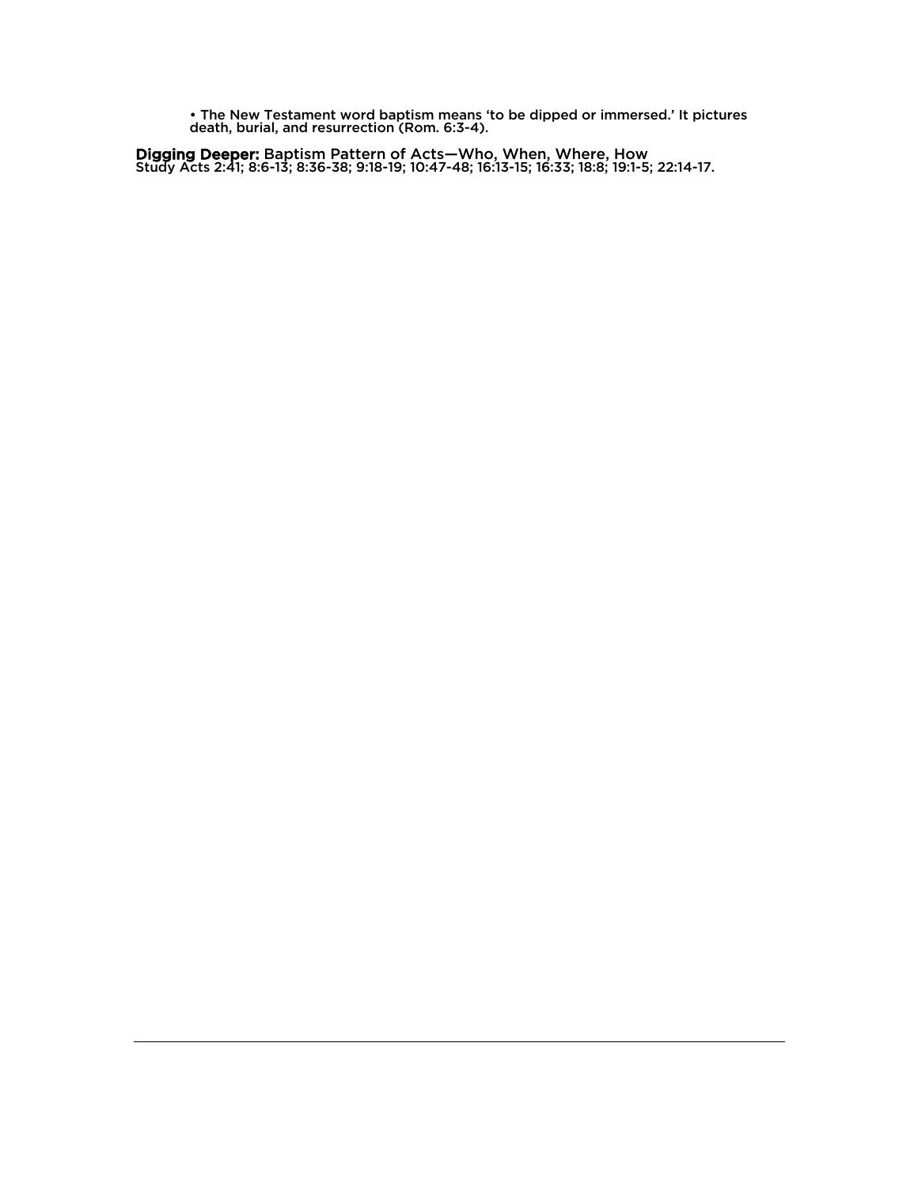• The New Testament word baptism means 'to be dipped or immersed.' It pictures death, burial, and resurrection (Rom. 6:3-4).

Digging Deeper: Baptism Pattern of Acts—Who, When, Where, How Study Acts 2:41; 8:6-13; 8:36-38; 9:18-19; 10:47-48; 16:13-15; 16:33; 18:8; 19:1-5; 22:14-17.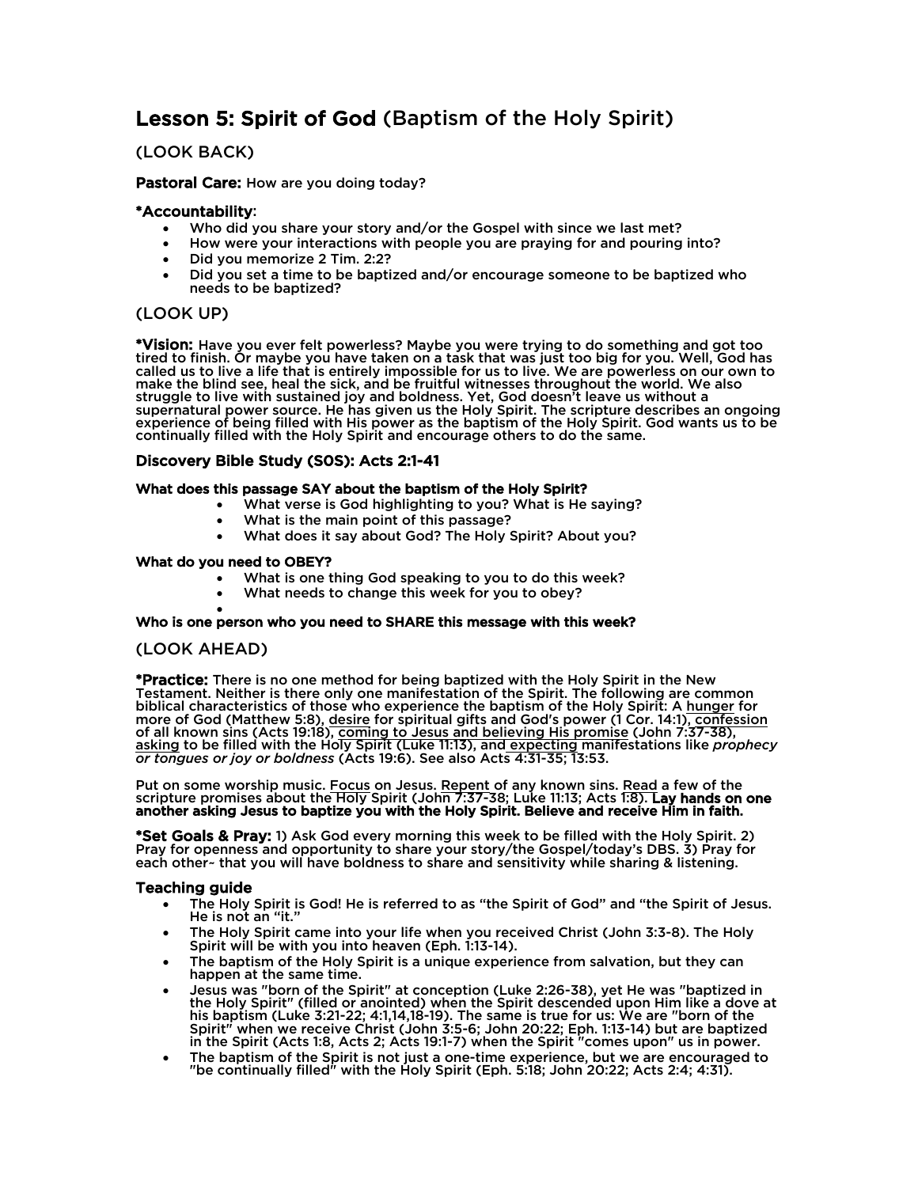# Lesson 5: Spirit of God (Baptism of the Holy Spirit)

# (LOOK BACK)

## Pastoral Care: How are you doing today?

## \*Accountability:

- Who did you share your story and/or the Gospel with since we last met?
- How were your interactions with people you are praying for and pouring into?
- Did you memorize 2 Tim. 2:2?
- Did you set a time to be baptized and/or encourage someone to be baptized who needs to be baptized?

# (LOOK UP)

\*Vision: Have you ever felt powerless? Maybe you were trying to do something and got too tired to finish. Or maybe you have taken on a task that was just too big for you. Well, God has called us to live a life that is entirely impossible for us to live. We are powerless on our own to make the blind see, heal the sick, and be fruitful witnesses throughout the world. We also struggle to live with sustained joy and boldness. Yet, God doesn't leave us without a supernatural power source. He has given us the Holy Spirit. The scripture describes an ongoing experience of being filled with His power as the baptism of the Holy Spirit. God wants us to be continually filled with the Holy Spirit and encourage others to do the same.

# Discovery Bible Study (S0S): Acts 2:1-41

## What does this passage SAY about the baptism of the Holy Spirit?

- What verse is God highlighting to you? What is He saying?
- What is the main point of this passage?
- What does it say about God? The Holy Spirit? About you?

### What do you need to OBEY?

- What is one thing God speaking to you to do this week?
- What needs to change this week for you to obey?

# • Who is one person who you need to SHARE this message with this week?

# (LOOK AHEAD)

\*Practice: There is no one method for being baptized with the Holy Spirit in the New Testament. Neither is there only one manifestation of the Spirit. The following are common biblical characteristics of those who experience the baptism of the Holy Spirit: A hunger for more of God (Matthew 5:8), <u>desire</u> for spiritual gifts and God's power (1 Cor. 14:1), confession of all known sins (Acts 19:18), coming to Jesus and believing His promise (John 7:37-38), asking to be filled with the Holy Spirit (Luke 11:13), and expecting manifestations like *prophecy or tongues or joy or boldness* (Acts 19:6). See also Acts 4:31-35; 13:53.

Put on some worship music. Focus on Jesus. Repent of any known sins. Read a few of the scripture promises about the Holy Spirit (John 7:37-38; Luke 11:13; Acts 1:8). Lay hands on one another asking Jesus to baptize you with the Holy Spirit. Believe and receive Him in faith.

\*Set Goals & Pray: 1) Ask God every morning this week to be filled with the Holy Spirit. 2) Pray for openness and opportunity to share your story/the Gospel/today's DBS. 3) Pray for each other~ that you will have boldness to share and sensitivity while sharing & listening.

- The Holy Spirit is God! He is referred to as "the Spirit of God" and "the Spirit of Jesus. He is not an "it."
- The Holy Spirit came into your life when you received Christ (John 3:3-8). The Holy Spirit will be with you into heaven (Eph. 1:13-14).
- The baptism of the Holy Spirit is a unique experience from salvation, but they can happen at the same time.
- Jesus was "born of the Spirit" at conception (Luke 2:26-38), yet He was "baptized in the Holy Spirit" (filled or anointed) when the Spirit descended upon Him like a dove at his baptism (Luke 3:21-22; 4:1,14,18-19). The same is true for us: We are "born of the Spirit" when we receive Christ (John 3:5-6; John 20:22; Eph. 1:13-14) but are baptized in the Spirit (Acts 1:8, Acts 2; Acts 19:1-7) when the Spirit "comes upon" us in power.
- The baptism of the Spirit is not just a one-time experience, but we are encouraged to "be continually filled" with the Holy Spirit (Eph. 5:18; John 20:22; Acts 2:4; 4:31).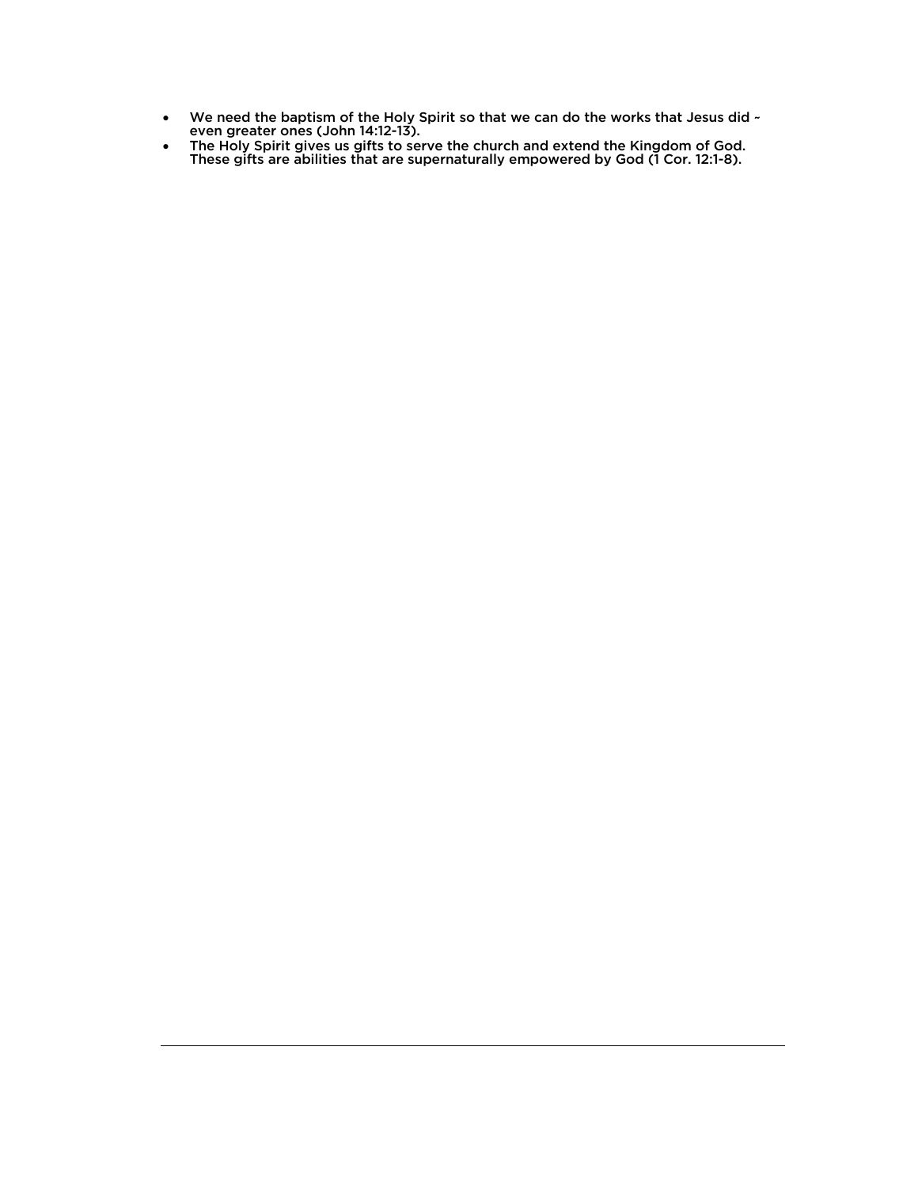- We need the baptism of the Holy Spirit so that we can do the works that Jesus did  $\sim$  even greater ones (John 14:12-13).
- The Holy Spirit gives us gifts to serve the church and extend the Kingdom of God. These gifts are abilities that are supernaturally empowered by God (1 Cor. 12:1-8).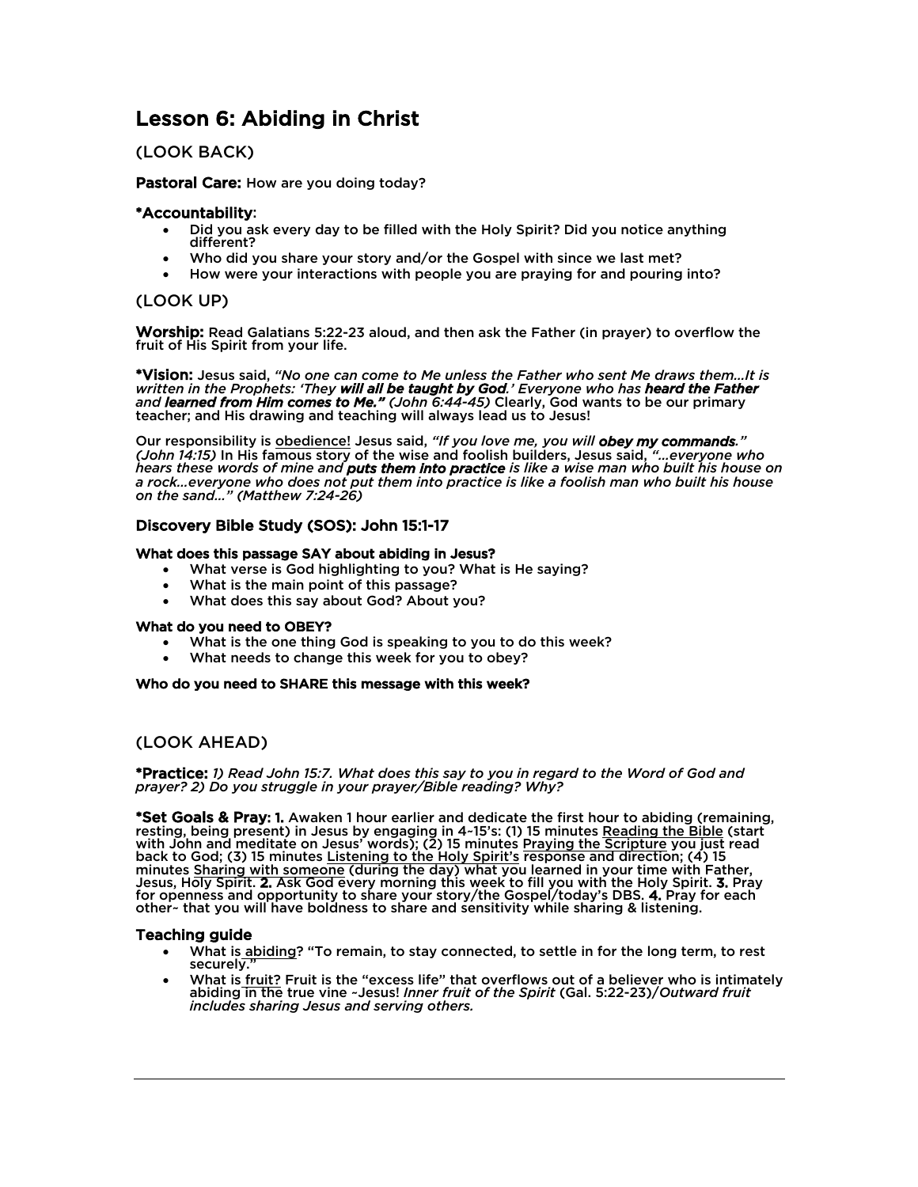# Lesson 6: Abiding in Christ

# (LOOK BACK)

Pastoral Care: How are you doing today?

# \*Accountability:

- Did you ask every day to be filled with the Holy Spirit? Did you notice anything different?
- Who did you share your story and/or the Gospel with since we last met?
- How were your interactions with people you are praying for and pouring into?

# (LOOK UP)

Worship: Read Galatians 5:22-23 aloud, and then ask the Father (in prayer) to overflow the fruit of His Spirit from your life.

\*Vision: Jesus said, *"No one can come to Me unless the Father who sent Me draws them…It is written in the Prophets: 'They will all be taught by God.' Everyone who has heard the Father and learned from Him comes to Me." (John 6:44-45)* Clearly, God wants to be our primary teacher; and His drawing and teaching will always lead us to Jesus!

Our responsibility is obedience! Jesus said, *"If you love me, you will obey my commands." (John 14:15)* In His famous story of the wise and foolish builders, Jesus said, *"…everyone who hears these words of mine and puts them into practice is like a wise man who built his house on a rock…everyone who does not put them into practice is like a foolish man who built his house on the sand…" (Matthew 7:24-26)*

# Discovery Bible Study (SOS): John 15:1-17

### What does this passage SAY about abiding in Jesus?

- What verse is God highlighting to you? What is He saying?
- What is the main point of this passage?
- What does this say about God? About you? What do you need to OBEY?

- What is the one thing God is speaking to you to do this week?
- What needs to change this week for you to obey?

### Who do you need to SHARE this message with this week?

# (LOOK AHEAD)

\*Practice: *1) Read John 15:7. What does this say to you in regard to the Word of God and prayer? 2) Do you struggle in your prayer/Bible reading? Why?* 

\*Set Goals & Pray: 1. Awaken 1 hour earlier and dedicate the first hour to abiding (remaining, resting, being present) in Jesus by engaging in 4~15's: (1) 15 minutes Reading the Bible (start with John and meditate on Jesus' words); (2) 15 minutes Praying the Scripture you just read back to God; (3) 15 minutes Listening to the Holy Spirit's response and direction; (4) 15 minutes Sharing with someone (during the day) what you learned in your time with Father, Jesus, Holy Spirit. 2. Ask God every morning this week to fill you with the Holy Spirit. 3. Pray<br>for openness and opportunity to share your story/the Gospel/today's DBS. 4. Pray for each other~ that you will have boldness to share and sensitivity while sharing & listening.

- What is abiding? "To remain, to stay connected, to settle in for the long term, to rest securely.
- What is *fruit?* Fruit is the "excess life" that overflows out of a believer who is intimately abiding in the true vine ~Jesus! *Inner fruit of the Spirit* (Gal. 5:22-23)/*Outward fruit includes sharing Jesus and serving others.*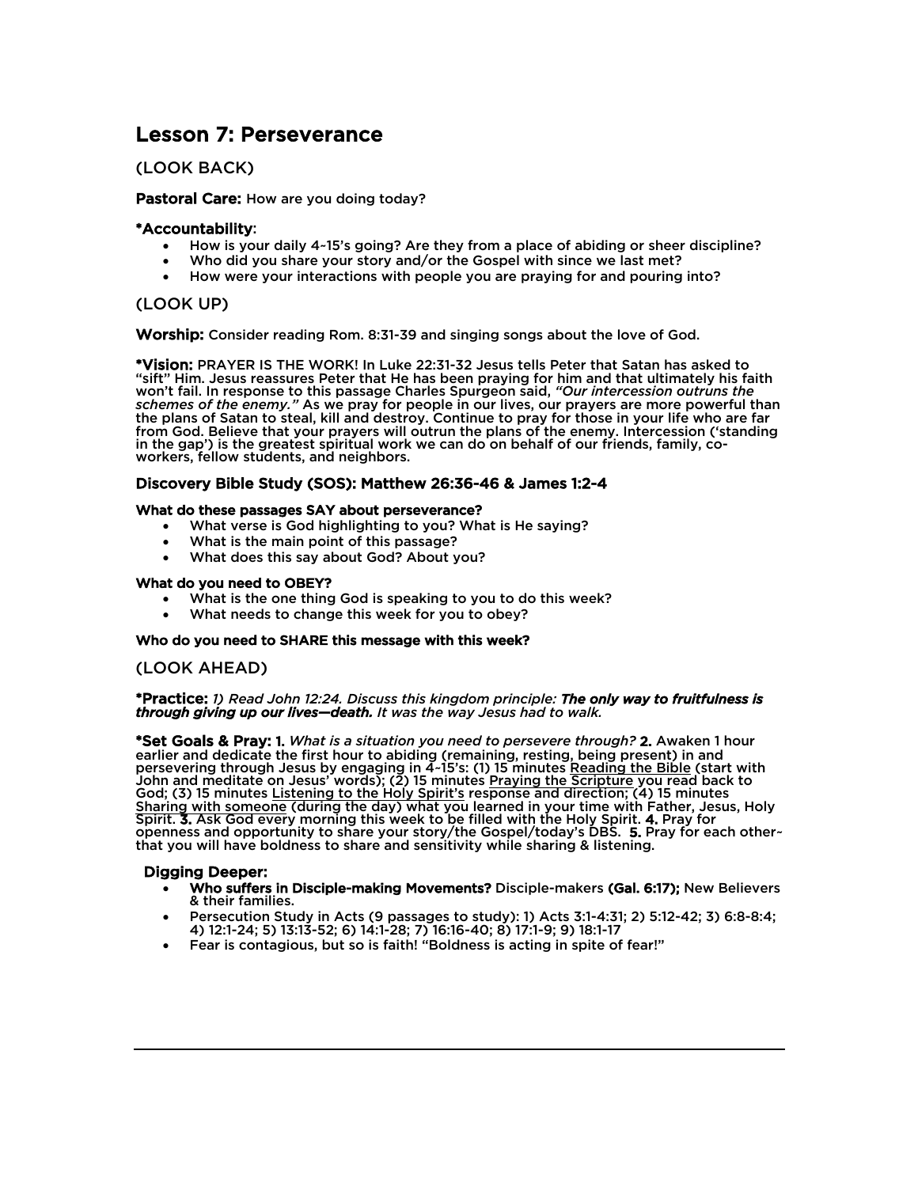# Lesson 7: Perseverance

# (LOOK BACK)

# Pastoral Care: How are you doing today?

## \*Accountability:

- How is your daily 4~15's going? Are they from a place of abiding or sheer discipline?
- Who did you share your story and/or the Gospel with since we last met?
- How were your interactions with people you are praying for and pouring into?

# (LOOK UP)

Worship: Consider reading Rom. 8:31-39 and singing songs about the love of God.

\*Vision: PRAYER IS THE WORK! In Luke 22:31-32 Jesus tells Peter that Satan has asked to "sift" Him. Jesus reassures Peter that He has been praying for him and that ultimately his faith won't fail. In response to this passage Charles Spurgeon said, *"Our intercession outruns the schemes of the enemy."* As we pray for people in our lives, our prayers are more powerful than the plans of Satan to steal, kill and destroy. Continue to pray for those in your life who are far from God. Believe that your prayers will outrun the plans of the enemy. Intercession ('standing in the gap') is the greatest spiritual work we can do on behalf of our friends, family, co- workers, fellow students, and neighbors.

# Discovery Bible Study (SOS): Matthew 26:36-46 & James 1:2-4

### What do these passages SAY about perseverance?

- What verse is God highlighting to you? What is He saying?
- What is the main point of this passage?
- What does this say about God? About you? What do you need to OBEY?

- What is the one thing God is speaking to you to do this week?
- What needs to change this week for you to obey?

### Who do you need to SHARE this message with this week?

# (LOOK AHEAD)

\*Practice: *1) Read John 12:24. Discuss this kingdom principle: The only way to fruitfulness is through giving up our lives—death. It was the way Jesus had to walk.* 

\*Set Goals & Pray: 1. *What is a situation you need to persevere through?* 2. Awaken 1 hour earlier and dedicate the first hour to abiding (remaining, resting, being present) in and persevering through Jesus by engaging in 4-15's: (1) 15 minutes Reading the Bible (start with John and meditate on Jesus' words); (2) 15 minutes Praying the Scripture you read back to God; (3) 15 minutes Listening to the Holy Spirit's response and direction; (4) 15 minutes Sharing with someone (during the day) what you learned in your time with Father, Jesus, Holy<br>Spirit. 3. Ask God every morning this week to be filled with the Holy Spirit. 4. Pray for Spirit. 3. Ask God every morning this week to be filled with the Holy Spirit. 4. Pray for<br>openness and opportunity to share your story/the Gospel/today's DBS. 5. Pray for each other~ that you will have boldness to share and sensitivity while sharing & listening.

### Digging Deeper:

Ξ

- Who suffers in Disciple-making Movements? Disciple-makers (Gal. 6:17); New Believers & their families.
- Persecution Study in Acts (9 passages to study): 1) Acts 3:1-4:31; 2) 5:12-42; 3) 6:8-8:4; 4) 12:1-24; 5) 13:13-52; 6) 14:1-28; 7) 16:16-40; 8) 17:1-9; 9) 18:1-17
- Fear is contagious, but so is faith! "Boldness is acting in spite of fear!"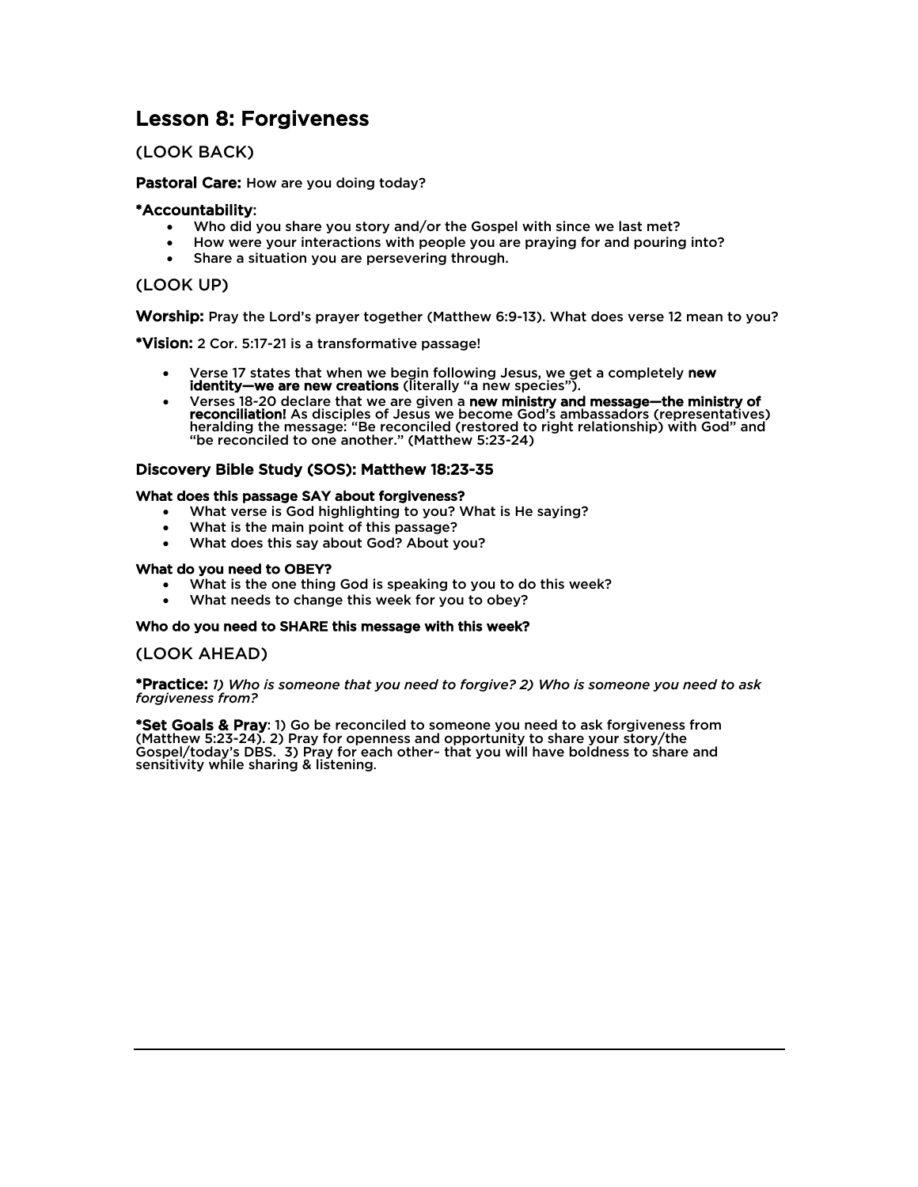# Lesson 8: Forgiveness

# (LOOK BACK)

## Pastoral Care: How are you doing today?

# \*Accountability:

- Who did you share you story and/or the Gospel with since we last met?
- How were your interactions with people you are praying for and pouring into?
- Share a situation you are persevering through.

# (LOOK UP)

Worship: Pray the Lord's prayer together (Matthew 6:9-13). What does verse 12 mean to you?

\*Vision: 2 Cor. 5:17-21 is a transformative passage!

- Verse 17 states that when we begin following Jesus, we get a completely new identity—we are new creations (literally "a new species").
- Verses 18-20 declare that we are given a new ministry and message—the ministry of reconciliation! As disciples of Jesus we become God's ambassadors (representatives) heralding the message: "Be reconciled (restored to right relationship) with God" and "be reconciled to one another." (Matthew 5:23-24)

# Discovery Bible Study (SOS): Matthew 18:23-35

### What does this passage SAY about forgiveness?

- What verse is God highlighting to you? What is He saying?
- What is the main point of this passage?
- What does this say about God? About you?

### What do you need to OBEY?

- What is the one thing God is speaking to you to do this week?
- What needs to change this week for you to obey?

### Who do you need to SHARE this message with this week?

# (LOOK AHEAD)

\*Practice: *1) Who is someone that you need to forgive? 2) Who is someone you need to ask forgiveness from?*

\*Set Goals & Pray: 1) Go be reconciled to someone you need to ask forgiveness from (Matthew 5:23-24). 2) Pray for openness and opportunity to share your story/the Gospel/today's DBS. 3) Pray for each other~ that you will have boldness to share and sensitivity while sharing & listening.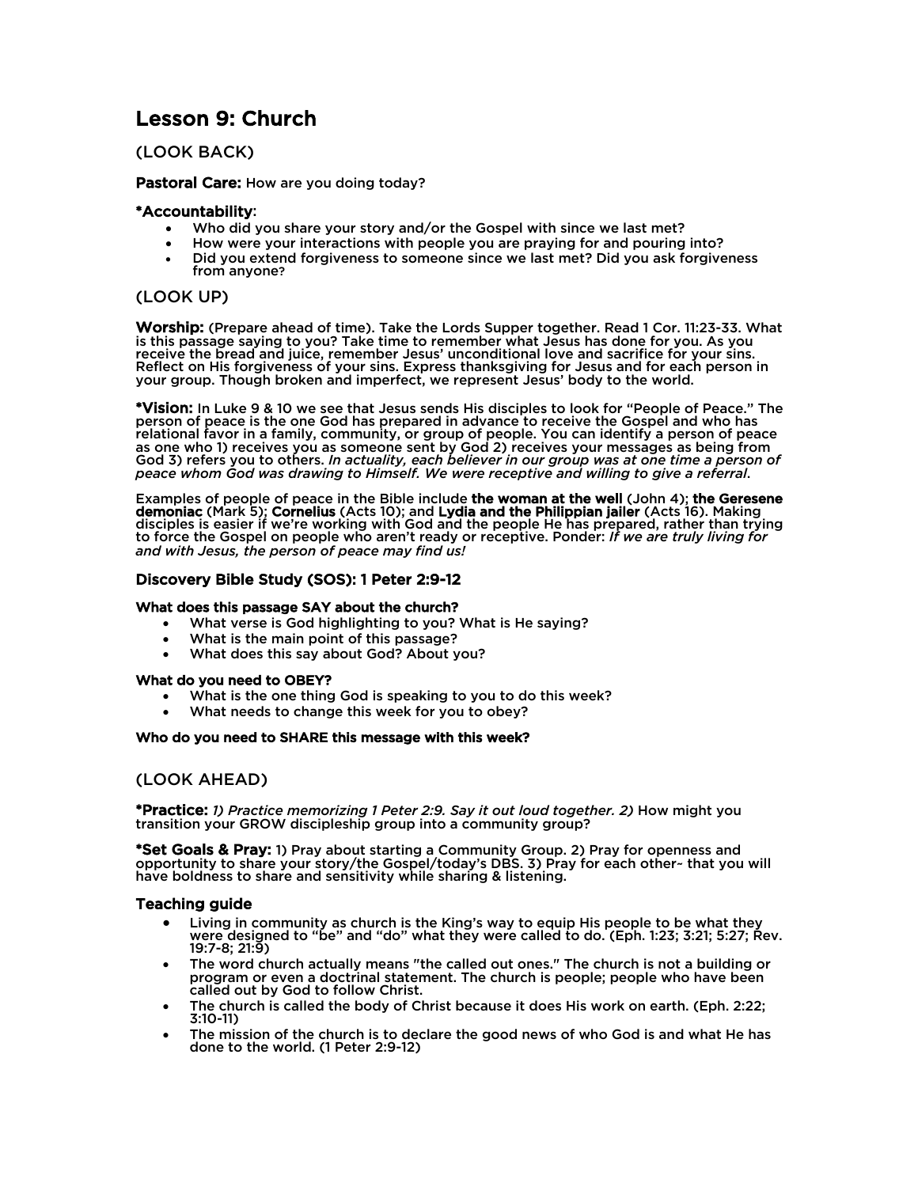# Lesson 9: Church

# (LOOK BACK)

### Pastoral Care: How are you doing today?

## \*Accountability:

- Who did you share your story and/or the Gospel with since we last met?
- How were your interactions with people you are praying for and pouring into?
- Did you extend forgiveness to someone since we last met? Did you ask forgiveness from anyone?

# (LOOK UP)

Worship: (Prepare ahead of time). Take the Lords Supper together. Read 1 Cor. 11:23-33. What is this passage saying to you? Take time to remember what Jesus has done for you. As you receive the bread and juice, remember Jesus' unconditional love and sacrifice for your sins. Reflect on His forgiveness of your sins. Express thanksgiving for Jesus and for each person in your group. Though broken and imperfect, we represent Jesus' body to the world.

\*Vision: In Luke 9 & 10 we see that Jesus sends His disciples to look for "People of Peace." The person of peace is the one God has prepared in advance to receive the Gospel and who has relational favor in a family, community, or group of people. You can identify a person of peace as one who 1) receives you as someone sent by God 2) receives your messages as being from God 3) refers you to others. *In actuality, each believer in our group was at one time a person of peace whom God was drawing to Himself. We were receptive and willing to give a referral*.

Examples of people of peace in the Bible include the woman at the well (John 4); the Geresene demoniac (Mark 5); Cornelius (Acts 10); and Lydia and the Philippian jailer (Acts 16). Making disciples is easier if we're working with God and the people He has prepared, rather than trying to force the Gospel on people who aren't ready or receptive. Ponder: *If we are truly living for and with Jesus, the person of peace may find us!*

# Discovery Bible Study (SOS): 1 Peter 2:9-12

### What does this passage SAY about the church?

- What verse is God highlighting to you? What is He saying?
- What is the main point of this passage?
- What does this say about God? About you? What do you need to OBEY?

- What is the one thing God is speaking to you to do this week?
- What needs to change this week for you to obey?

### Who do you need to SHARE this message with this week?

# (LOOK AHEAD)

\*Practice: *1) Practice memorizing 1 Peter 2:9. Say it out loud together. 2)* How might you transition your GROW discipleship group into a community group?

\*Set Goals & Pray: 1) Pray about starting a Community Group. 2) Pray for openness and opportunity to share your story/the Gospel/today's DBS. 3) Pray for each other~ that you will have boldness to share and sensitivity while sharing & listening.

- Living in community as church is the King's way to equip His people to be what they were designed to "be" and "do" what they were called to do. (Eph. 1:23; 3:21; 5:27; Rev.<br>19:7-8; 21:9)
- The word church actually means "the called out ones." The church is not a building or program or even a doctrinal statement. The church is people; people who have been called out by God to follow Christ.
- The church is called the body of Christ because it does His work on earth. (Eph. 2:22; 3:10-11)
- The mission of the church is to declare the good news of who God is and what He has done to the world. (1 Peter 2:9-12)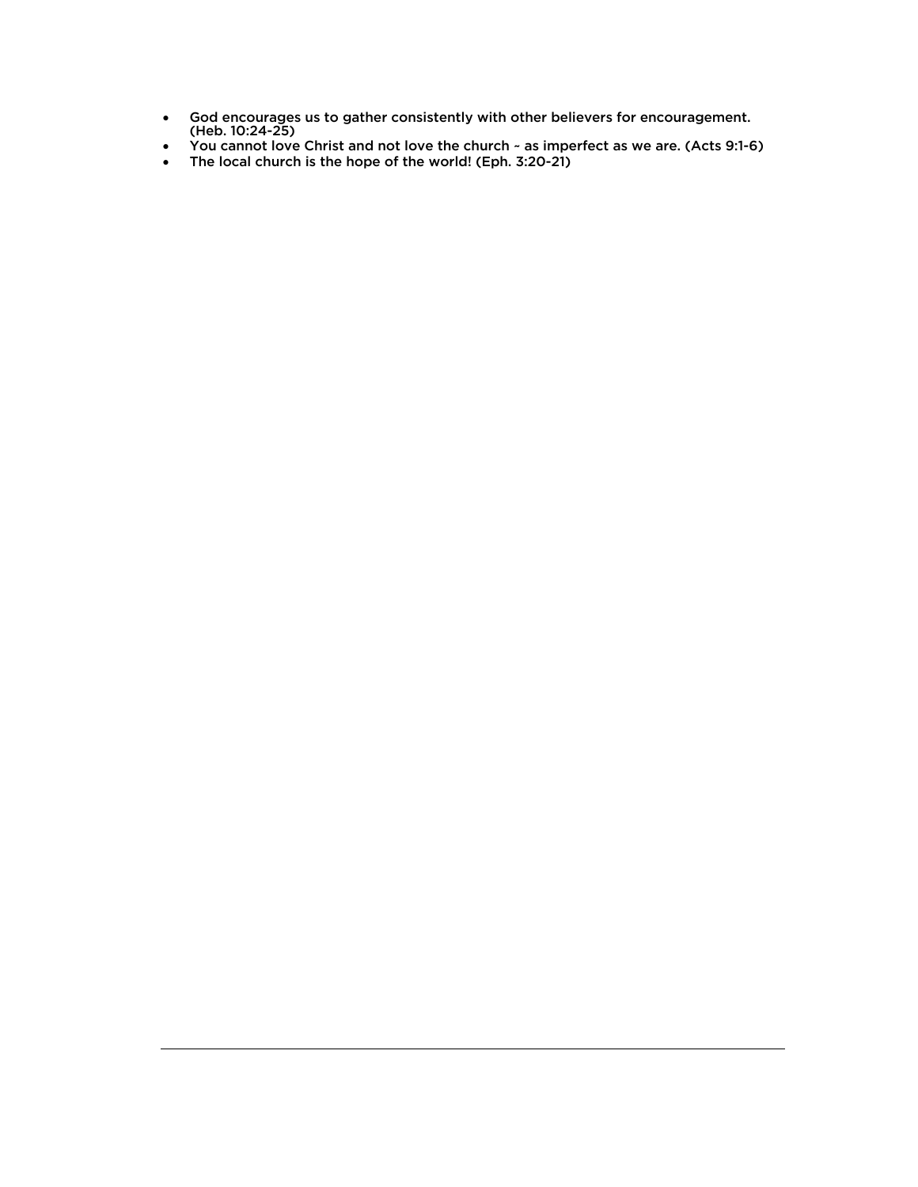- God encourages us to gather consistently with other believers for encouragement. (Heb. 10:24-25)
- You cannot love Christ and not love the church ~ as imperfect as we are. (Acts 9:1-6)
- The local church is the hope of the world! (Eph. 3:20-21)